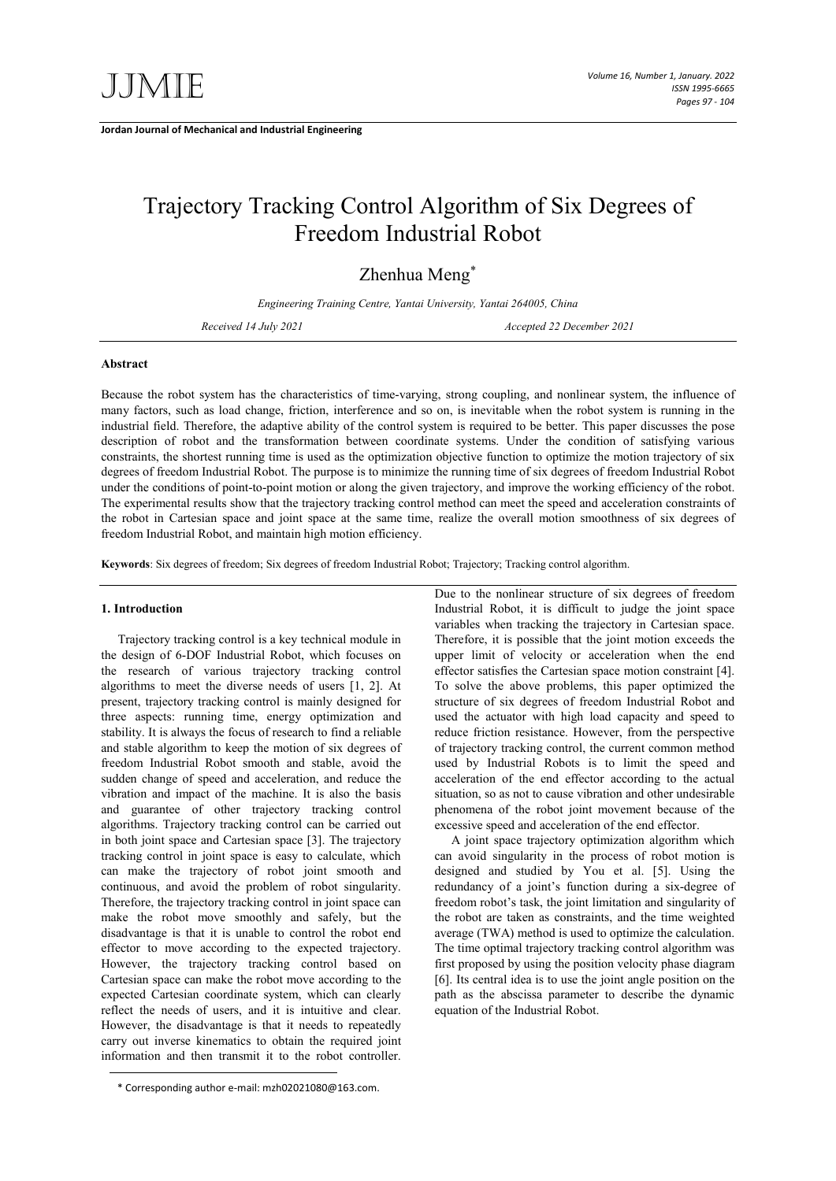**Jordan Journal of Mechanical and Industrial Engineering**

# Trajectory Tracking Control Algorithm of Six Degrees of Freedom Industrial Robot

Zhenhua Meng\*

*Engineering Training Centre, Yantai University, Yantai 264005, China*

*Received 14 July 2021 Accepted 22 December 2021*

## **Abstract**

Because the robot system has the characteristics of time-varying, strong coupling, and nonlinear system, the influence of many factors, such as load change, friction, interference and so on, is inevitable when the robot system is running in the industrial field. Therefore, the adaptive ability of the control system is required to be better. This paper discusses the pose description of robot and the transformation between coordinate systems. Under the condition of satisfying various constraints, the shortest running time is used as the optimization objective function to optimize the motion trajectory of six degrees of freedom Industrial Robot. The purpose is to minimize the running time of six degrees of freedom Industrial Robot under the conditions of point-to-point motion or along the given trajectory, and improve the working efficiency of the robot. The experimental results show that the trajectory tracking control method can meet the speed and acceleration constraints of the robot in Cartesian space and joint space at the same time, realize the overall motion smoothness of six degrees of freedom Industrial Robot, and maintain high motion efficiency.

**Keywords**: Six degrees of freedom; Six degrees of freedom Industrial Robot; Trajectory; Tracking control algorithm.

#### **1. Introduction**

Trajectory tracking control is a key technical module in the design of 6-DOF Industrial Robot, which focuses on the research of various trajectory tracking control algorithms to meet the diverse needs of users [1, 2]. At present, trajectory tracking control is mainly designed for three aspects: running time, energy optimization and stability. It is always the focus of research to find a reliable and stable algorithm to keep the motion of six degrees of freedom Industrial Robot smooth and stable, avoid the sudden change of speed and acceleration, and reduce the vibration and impact of the machine. It is also the basis and guarantee of other trajectory tracking control algorithms. Trajectory tracking control can be carried out in both joint space and Cartesian space [3]. The trajectory tracking control in joint space is easy to calculate, which can make the trajectory of robot joint smooth and continuous, and avoid the problem of robot singularity. Therefore, the trajectory tracking control in joint space can make the robot move smoothly and safely, but the disadvantage is that it is unable to control the robot end effector to move according to the expected trajectory. However, the trajectory tracking control based on Cartesian space can make the robot move according to the expected Cartesian coordinate system, which can clearly reflect the needs of users, and it is intuitive and clear. However, the disadvantage is that it needs to repeatedly carry out inverse kinematics to obtain the required joint information and then transmit it to the robot controller.

Due to the nonlinear structure of six degrees of freedom Industrial Robot, it is difficult to judge the joint space variables when tracking the trajectory in Cartesian space. Therefore, it is possible that the joint motion exceeds the upper limit of velocity or acceleration when the end effector satisfies the Cartesian space motion constraint [4]. To solve the above problems, this paper optimized the structure of six degrees of freedom Industrial Robot and used the actuator with high load capacity and speed to reduce friction resistance. However, from the perspective of trajectory tracking control, the current common method used by Industrial Robots is to limit the speed and acceleration of the end effector according to the actual situation, so as not to cause vibration and other undesirable phenomena of the robot joint movement because of the excessive speed and acceleration of the end effector.

A joint space trajectory optimization algorithm which can avoid singularity in the process of robot motion is designed and studied by You et al. [5]. Using the redundancy of a joint's function during a six-degree of freedom robot's task, the joint limitation and singularity of the robot are taken as constraints, and the time weighted average (TWA) method is used to optimize the calculation. The time optimal trajectory tracking control algorithm was first proposed by using the position velocity phase diagram [6]. Its central idea is to use the joint angle position on the path as the abscissa parameter to describe the dynamic equation of the Industrial Robot.

<sup>\*</sup> Corresponding author e-mail: mzh02021080@163.com.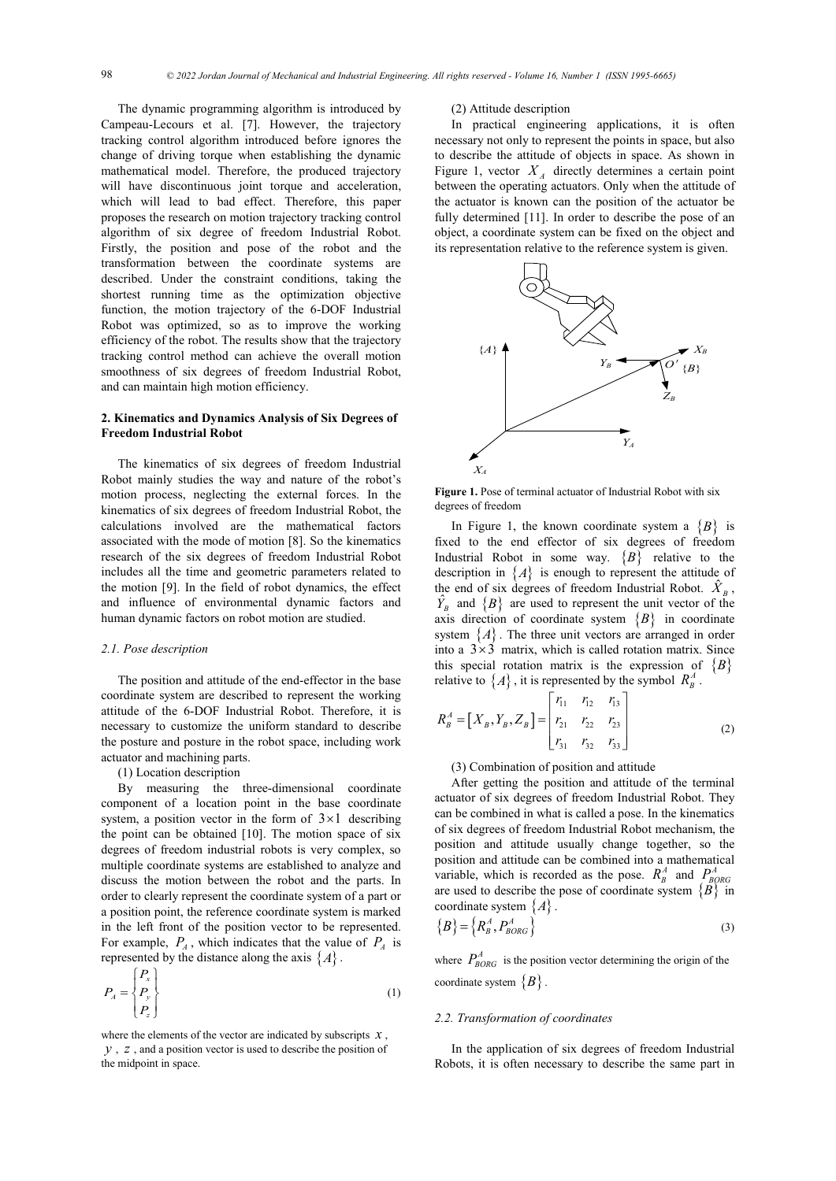The dynamic programming algorithm is introduced by Campeau-Lecours et al. [7]. However, the trajectory tracking control algorithm introduced before ignores the change of driving torque when establishing the dynamic mathematical model. Therefore, the produced trajectory will have discontinuous joint torque and acceleration, which will lead to bad effect. Therefore, this paper proposes the research on motion trajectory tracking control algorithm of six degree of freedom Industrial Robot. Firstly, the position and pose of the robot and the transformation between the coordinate systems are described. Under the constraint conditions, taking the shortest running time as the optimization objective function, the motion trajectory of the 6-DOF Industrial Robot was optimized, so as to improve the working efficiency of the robot. The results show that the trajectory tracking control method can achieve the overall motion smoothness of six degrees of freedom Industrial Robot, and can maintain high motion efficiency.

## **2. Kinematics and Dynamics Analysis of Six Degrees of Freedom Industrial Robot**

The kinematics of six degrees of freedom Industrial Robot mainly studies the way and nature of the robot's motion process, neglecting the external forces. In the kinematics of six degrees of freedom Industrial Robot, the calculations involved are the mathematical factors associated with the mode of motion [8]. So the kinematics research of the six degrees of freedom Industrial Robot includes all the time and geometric parameters related to the motion [9]. In the field of robot dynamics, the effect and influence of environmental dynamic factors and human dynamic factors on robot motion are studied.

#### *2.1. Pose description*

The position and attitude of the end-effector in the base coordinate system are described to represent the working attitude of the 6-DOF Industrial Robot. Therefore, it is necessary to customize the uniform standard to describe the posture and posture in the robot space, including work actuator and machining parts.

#### (1) Location description

By measuring the three-dimensional coordinate component of a location point in the base coordinate system, a position vector in the form of  $3 \times 1$  describing the point can be obtained [10]. The motion space of six degrees of freedom industrial robots is very complex, so multiple coordinate systems are established to analyze and discuss the motion between the robot and the parts. In order to clearly represent the coordinate system of a part or a position point, the reference coordinate system is marked in the left front of the position vector to be represented. For example,  $P_A$ , which indicates that the value of  $P_A$  is represented by the distance along the axis  $\{A\}$ .

$$
P_A = \begin{Bmatrix} P_x \\ P_y \\ P_z \end{Bmatrix} \tag{1}
$$

where the elements of the vector are indicated by subscripts  $x$ , *y* , *z* , and a position vector is used to describe the position of the midpoint in space.

#### (2) Attitude description

In practical engineering applications, it is often necessary not only to represent the points in space, but also to describe the attitude of objects in space. As shown in Figure 1, vector  $X_A$  directly determines a certain point between the operating actuators. Only when the attitude of the actuator is known can the position of the actuator be fully determined [11]. In order to describe the pose of an object, a coordinate system can be fixed on the object and its representation relative to the reference system is given.



**Figure 1.** Pose of terminal actuator of Industrial Robot with six degrees of freedom

In Figure 1, the known coordinate system a  ${B}$  is fixed to the end effector of six degrees of freedom Industrial Robot in some way.  ${B}$  relative to the description in  ${A}$  is enough to represent the attitude of the end of six degrees of freedom Industrial Robot.  $\hat{X}_B$ ,  $\hat{Y}_R$  and  $\{B\}$  are used to represent the unit vector of the axis direction of coordinate system  ${B}$  in coordinate system  ${A}$ . The three unit vectors are arranged in order into a  $3 \times 3$  matrix, which is called rotation matrix. Since this special rotation matrix is the expression of  ${B}$ relative to  $\{A\}$ , it is represented by the symbol  $R_{\beta}^{A}$ .

$$
R_B^A = [X_B, Y_B, Z_B] = \begin{bmatrix} r_{11} & r_{12} & r_{13} \\ r_{21} & r_{22} & r_{23} \\ r_{31} & r_{32} & r_{33} \end{bmatrix}
$$
 (2)

(3) Combination of position and attitude

After getting the position and attitude of the terminal actuator of six degrees of freedom Industrial Robot. They can be combined in what is called a pose. In the kinematics of six degrees of freedom Industrial Robot mechanism, the position and attitude usually change together, so the position and attitude can be combined into a mathematical variable, which is recorded as the pose.  $R_B^A$  and  $P_{BORG}^A$ are used to describe the pose of coordinate system  ${B}$  in coordinate system {*A*} .

$$
\{B\} = \{R^A_B, P^A_{BORG}\}\tag{3}
$$

where  $P_{BORG}^{A}$  is the position vector determining the origin of the coordinate system  ${B}$ .

#### *2.2. Transformation of coordinates*

In the application of six degrees of freedom Industrial Robots, it is often necessary to describe the same part in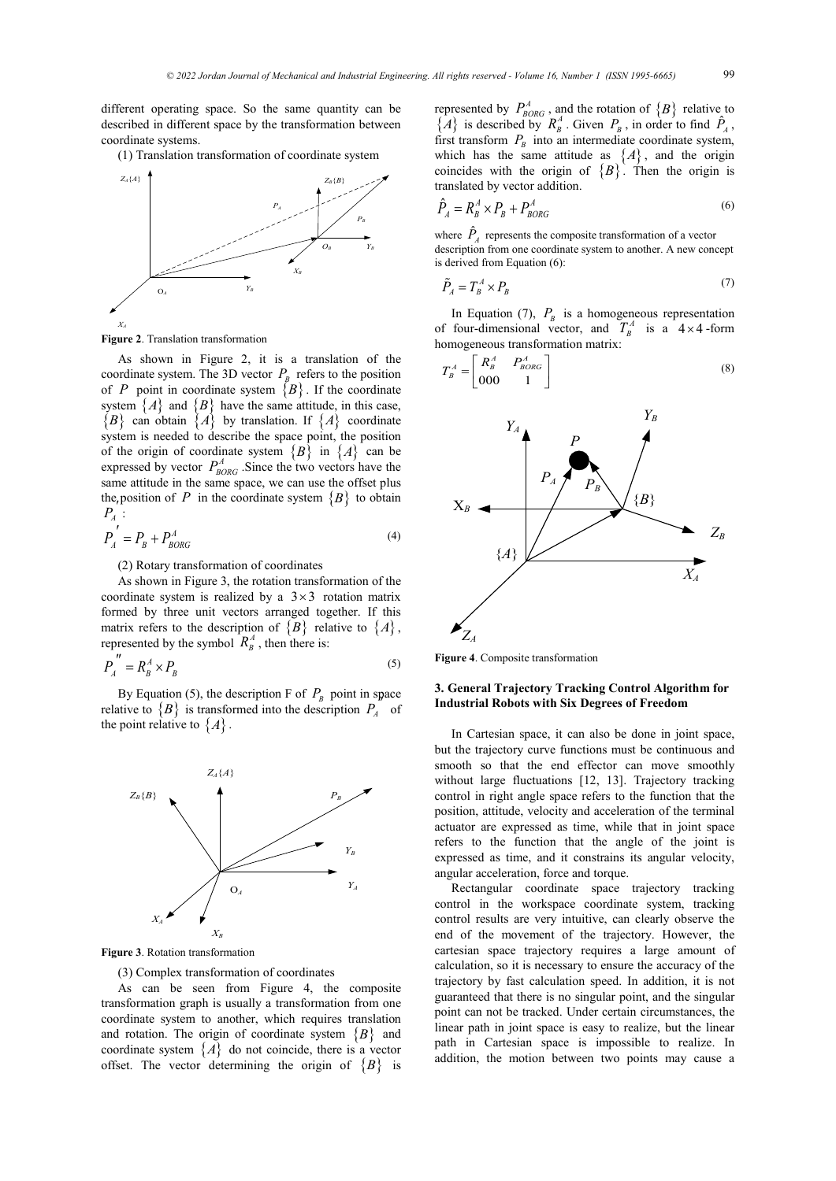different operating space. So the same quantity can be described in different space by the transformation between coordinate systems.

(1) Translation transformation of coordinate system



**Figure 2**. Translation transformation

As shown in Figure 2, it is a translation of the coordinate system. The 3D vector  $P_B$  refers to the position of *P* point in coordinate system  ${B}$ . If the coordinate system  $\{A\}$  and  $\{B\}$  have the same attitude, in this case,  ${B}$  can obtain  ${A}$  by translation. If  ${A}$  coordinate system is needed to describe the space point, the position of the origin of coordinate system  ${B}$  in  ${A}$  can be expressed by vector  $P_{BORG}^A$ . Since the two vectors have the same attitude in the same space, we can use the offset plus the position of *P* in the coordinate system  ${B}$  to obtain  $P_{A}$ :

$$
P_A^{'} = P_B + P_{BORG}^A \tag{4}
$$

(2) Rotary transformation of coordinates

As shown in Figure 3, the rotation transformation of the coordinate system is realized by a  $3 \times 3$  rotation matrix formed by three unit vectors arranged together. If this matrix refers to the description of  $\{B\}$  relative to  $\{A\}$ , represented by the symbol  $R_B^A$ , then there is:

$$
P_A^{\prime\prime} = R_B^A \times P_B \tag{5}
$$

By Equation (5), the description F of  $P_B$  point in space relative to  ${B}$  is transformed into the description  $P_A$  of the point relative to  $\{A\}$ .



**Figure 3**. Rotation transformation

(3) Complex transformation of coordinates

As can be seen from Figure 4, the composite transformation graph is usually a transformation from one coordinate system to another, which requires translation and rotation. The origin of coordinate system  ${B}$  and coordinate system  $\{A\}$  do not coincide, there is a vector offset. The vector determining the origin of  ${B}$  is

represented by  $P_{BORG}^A$ , and the rotation of  $\{B\}$  relative to  $\{A\}$  is described by  $R_B^A$ . Given  $P_B$ , in order to find  $\hat{P}_A$ , first transform  $P_B$  into an intermediate coordinate system, which has the same attitude as  $\{A\}$ , and the origin coincides with the origin of  ${B}$ . Then the origin is translated by vector addition.

$$
\hat{P}_A = R_B^A \times P_B + P_{BORG}^A \tag{6}
$$

where  $\hat{P}_A$  represents the composite transformation of a vector description from one coordinate system to another. A new concept is derived from Equation (6):

$$
\tilde{P}_A = T^A_B \times P_B \tag{7}
$$

In Equation (7),  $P_B$  is a homogeneous representation of four-dimensional vector, and  $T_B^A$  is a 4 × 4-form homogeneous transformation matrix:

$$
T_B^A = \begin{bmatrix} R_B^A & P_{BORG}^A \\ 000 & 1 \end{bmatrix} \tag{8}
$$



**Figure 4**. Composite transformation

## **3. General Trajectory Tracking Control Algorithm for Industrial Robots with Six Degrees of Freedom**

In Cartesian space, it can also be done in joint space, but the trajectory curve functions must be continuous and smooth so that the end effector can move smoothly without large fluctuations [12, 13]. Trajectory tracking control in right angle space refers to the function that the position, attitude, velocity and acceleration of the terminal actuator are expressed as time, while that in joint space refers to the function that the angle of the joint is expressed as time, and it constrains its angular velocity, angular acceleration, force and torque.

Rectangular coordinate space trajectory tracking control in the workspace coordinate system, tracking control results are very intuitive, can clearly observe the end of the movement of the trajectory. However, the cartesian space trajectory requires a large amount of calculation, so it is necessary to ensure the accuracy of the trajectory by fast calculation speed. In addition, it is not guaranteed that there is no singular point, and the singular point can not be tracked. Under certain circumstances, the linear path in joint space is easy to realize, but the linear path in Cartesian space is impossible to realize. In addition, the motion between two points may cause a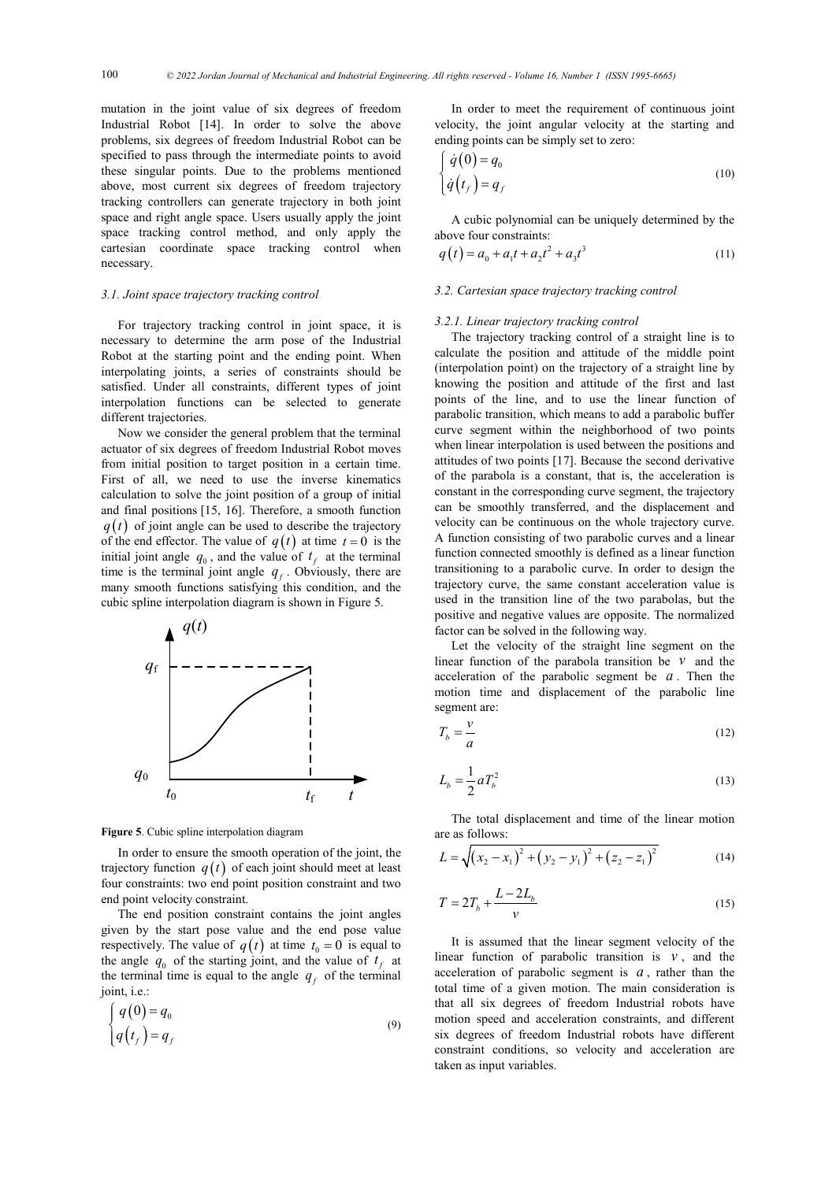mutation in the joint value of six degrees of freedom Industrial Robot [14]. In order to solve the above problems, six degrees of freedom Industrial Robot can be specified to pass through the intermediate points to avoid these singular points. Due to the problems mentioned above, most current six degrees of freedom trajectory tracking controllers can generate trajectory in both joint space and right angle space. Users usually apply the joint space tracking control method, and only apply the cartesian coordinate space tracking control when necessary.

#### *3.1. Joint space trajectory tracking control*

For trajectory tracking control in joint space, it is necessary to determine the arm pose of the Industrial Robot at the starting point and the ending point. When interpolating joints, a series of constraints should be satisfied. Under all constraints, different types of joint interpolation functions can be selected to generate different trajectories.

Now we consider the general problem that the terminal actuator of six degrees of freedom Industrial Robot moves from initial position to target position in a certain time. First of all, we need to use the inverse kinematics calculation to solve the joint position of a group of initial and final positions [15, 16]. Therefore, a smooth function  $q(t)$  of joint angle can be used to describe the trajectory of the end effector. The value of  $q(t)$  at time  $t = 0$  is the initial joint angle  $q_0$ , and the value of  $t_f$  at the terminal time is the terminal joint angle  $q_f$ . Obviously, there are many smooth functions satisfying this condition, and the cubic spline interpolation diagram is shown in Figure 5.



**Figure 5**. Cubic spline interpolation diagram

In order to ensure the smooth operation of the joint, the trajectory function  $q(t)$  of each joint should meet at least four constraints: two end point position constraint and two end point velocity constraint.

The end position constraint contains the joint angles given by the start pose value and the end pose value respectively. The value of  $q(t)$  at time  $t_0 = 0$  is equal to the angle  $q_0$  of the starting joint, and the value of  $t_f$  at the terminal time is equal to the angle  $q<sub>f</sub>$  of the terminal joint, i.e.:

$$
\begin{cases}\nq(0) = q_0 \\
q(t_f) = q_f\n\end{cases}
$$
\n(9)

In order to meet the requirement of continuous joint velocity, the joint angular velocity at the starting and ending points can be simply set to zero:

$$
\begin{cases}\n\dot{q}(0) = q_0 \\
\dot{q}(t_f) = q_f\n\end{cases}
$$
\n(10)

A cubic polynomial can be uniquely determined by the above four constraints:

$$
q(t) = a_0 + a_1t + a_2t^2 + a_3t^3
$$
 (11)

## *3.2. Cartesian space trajectory tracking control*

#### *3.2.1. Linear trajectory tracking control*

The trajectory tracking control of a straight line is to calculate the position and attitude of the middle point (interpolation point) on the trajectory of a straight line by knowing the position and attitude of the first and last points of the line, and to use the linear function of parabolic transition, which means to add a parabolic buffer curve segment within the neighborhood of two points when linear interpolation is used between the positions and attitudes of two points [17]. Because the second derivative of the parabola is a constant, that is, the acceleration is constant in the corresponding curve segment, the trajectory can be smoothly transferred, and the displacement and velocity can be continuous on the whole trajectory curve. A function consisting of two parabolic curves and a linear function connected smoothly is defined as a linear function transitioning to a parabolic curve. In order to design the trajectory curve, the same constant acceleration value is used in the transition line of the two parabolas, but the positive and negative values are opposite. The normalized factor can be solved in the following way.

Let the velocity of the straight line segment on the linear function of the parabola transition be *v* and the acceleration of the parabolic segment be *a* . Then the motion time and displacement of the parabolic line segment are:

$$
T_b = \frac{v}{a} \tag{12}
$$

$$
L_b = \frac{1}{2} a T_b^2 \tag{13}
$$

The total displacement and time of the linear motion are as follows:

$$
L = \sqrt{(x_2 - x_1)^2 + (y_2 - y_1)^2 + (z_2 - z_1)^2}
$$
 (14)

$$
T = 2T_b + \frac{L - 2L_b}{v}
$$
 (15)

It is assumed that the linear segment velocity of the linear function of parabolic transition is  $v$ , and the acceleration of parabolic segment is *a* , rather than the total time of a given motion. The main consideration is that all six degrees of freedom Industrial robots have motion speed and acceleration constraints, and different six degrees of freedom Industrial robots have different constraint conditions, so velocity and acceleration are taken as input variables.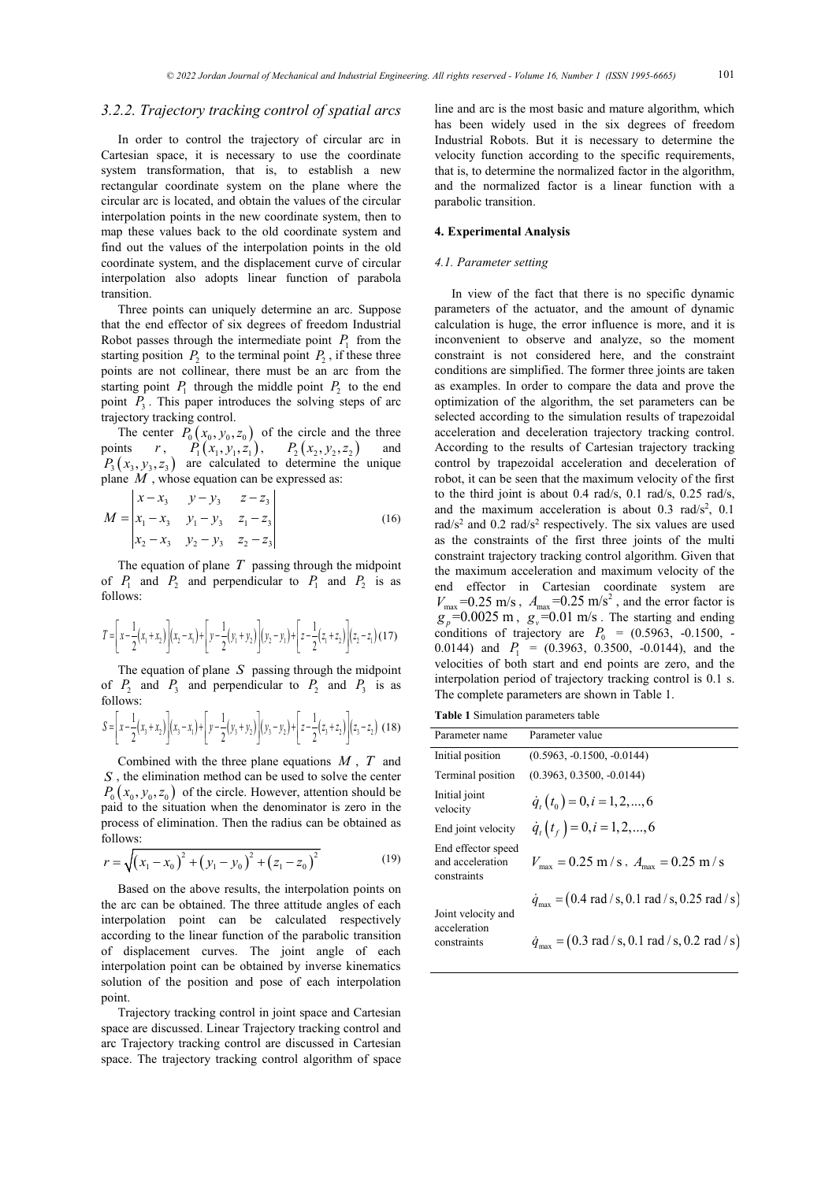## *3.2.2. Trajectory tracking control of spatial arcs*

In order to control the trajectory of circular arc in Cartesian space, it is necessary to use the coordinate system transformation, that is, to establish a new rectangular coordinate system on the plane where the circular arc is located, and obtain the values of the circular interpolation points in the new coordinate system, then to map these values back to the old coordinate system and find out the values of the interpolation points in the old coordinate system, and the displacement curve of circular interpolation also adopts linear function of parabola transition.

Three points can uniquely determine an arc. Suppose that the end effector of six degrees of freedom Industrial Robot passes through the intermediate point  $P_1$  from the starting position  $P_2$  to the terminal point  $P_2$ , if these three points are not collinear, there must be an arc from the starting point  $P_1$  through the middle point  $P_2$  to the end point  $P_3$ . This paper introduces the solving steps of arc trajectory tracking control.

The center  $P_0 ( x_0, y_0, z_0 )$  of the circle and the three points  $r$ ,  $P_1(x_1, y_1, z_1)$ ,  $P_2(x_2, y_2, z_2)$  and  $P_3(x_3, y_3, z_3)$  are calculated to determine the unique plane *M* , whose equation can be expressed as:

$$
M = \begin{vmatrix} x - x_3 & y - y_3 & z - z_3 \\ x_1 - x_3 & y_1 - y_3 & z_1 - z_3 \\ x_2 - x_3 & y_2 - y_3 & z_2 - z_3 \end{vmatrix} \tag{16}
$$

The equation of plane *T* passing through the midpoint of  $P_1$  and  $P_2$  and perpendicular to  $P_1$  and  $P_2$  is as follows:

$$
T = \left[x - \frac{1}{2}(x_1 + x_2)\right](x_2 - x_1) + \left[y - \frac{1}{2}(y_1 + y_2)\right](y_2 - y_1) + \left[z - \frac{1}{2}(z_1 + z_2)\right](z_2 - z_1) \tag{17}
$$

The equation of plane *S* passing through the midpoint of  $P_2$  and  $P_3$  and perpendicular to  $P_2$  and  $P_3$  is as follows:

$$
S = \left[x - \frac{1}{2}(x_3 + x_2)\right](x_3 - x_1) + \left[y - \frac{1}{2}(y_3 + y_2)\right](y_3 - y_2) + \left[z - \frac{1}{2}(z_3 + z_2)\right](z_3 - z_2) \tag{18}
$$

Combined with the three plane equations *M* , *T* and *S* , the elimination method can be used to solve the center  $P_0$  ( $x_0, y_0, z_0$ ) of the circle. However, attention should be paid to the situation when the denominator is zero in the process of elimination. Then the radius can be obtained as follows:

$$
r = \sqrt{(x_1 - x_0)^2 + (y_1 - y_0)^2 + (z_1 - z_0)^2}
$$
 (19)

Based on the above results, the interpolation points on the arc can be obtained. The three attitude angles of each interpolation point can be calculated respectively according to the linear function of the parabolic transition of displacement curves. The joint angle of each interpolation point can be obtained by inverse kinematics solution of the position and pose of each interpolation point.

Trajectory tracking control in joint space and Cartesian space are discussed. Linear Trajectory tracking control and arc Trajectory tracking control are discussed in Cartesian space. The trajectory tracking control algorithm of space

line and arc is the most basic and mature algorithm, which has been widely used in the six degrees of freedom Industrial Robots. But it is necessary to determine the velocity function according to the specific requirements, that is, to determine the normalized factor in the algorithm, and the normalized factor is a linear function with a parabolic transition.

## **4. Experimental Analysis**

### *4.1. Parameter setting*

In view of the fact that there is no specific dynamic parameters of the actuator, and the amount of dynamic calculation is huge, the error influence is more, and it is inconvenient to observe and analyze, so the moment constraint is not considered here, and the constraint conditions are simplified. The former three joints are taken as examples. In order to compare the data and prove the optimization of the algorithm, the set parameters can be selected according to the simulation results of trapezoidal acceleration and deceleration trajectory tracking control. According to the results of Cartesian trajectory tracking control by trapezoidal acceleration and deceleration of robot, it can be seen that the maximum velocity of the first to the third joint is about 0.4 rad/s, 0.1 rad/s, 0.25 rad/s, and the maximum acceleration is about 0.3 rad/ $s^2$ , 0.1 rad/s<sup>2</sup> and  $0.2$  rad/s<sup>2</sup> respectively. The six values are used as the constraints of the first three joints of the multi constraint trajectory tracking control algorithm. Given that the maximum acceleration and maximum velocity of the end effector in Cartesian coordinate system are  $V_{\text{max}}$  =0.25 m/s,  $A_{\text{max}}$  =0.25 m/s<sup>2</sup>, and the error factor is  $g_p$ =0.0025 m,  $g_v$ =0.01 m/s. The starting and ending conditions of trajectory are  $P_0 = (0.5963, -0.1500, -0.1500)$ 0.0144) and  $P_1 = (0.3963, 0.3500, -0.0144)$ , and the velocities of both start and end points are zero, and the interpolation period of trajectory tracking control is 0.1 s. The complete parameters are shown in Table 1.

**Table 1** Simulation parameters table

| Parameter name                                        | Parameter value                                                                     |
|-------------------------------------------------------|-------------------------------------------------------------------------------------|
| Initial position                                      | $(0.5963, -0.1500, -0.0144)$                                                        |
| Terminal position                                     | $(0.3963, 0.3500, -0.0144)$                                                         |
| Initial joint<br>velocity                             | $\dot{q}_t(t_0) = 0, i = 1, 2, , 6$                                                 |
| End joint velocity                                    | $\dot{q}_t(t_f) = 0, i = 1, 2, , 6$                                                 |
| End effector speed<br>and acceleration<br>constraints | $V_{\text{max}} = 0.25 \text{ m/s}, A_{\text{max}} = 0.25 \text{ m/s}$              |
| Joint velocity and<br>acceleration<br>constraints     | $\dot{q}_{\text{max}} = (0.4 \text{ rad/s}, 0.1 \text{ rad/s}, 0.25 \text{ rad/s})$ |
|                                                       | $\dot{q}_{\text{max}} = (0.3 \text{ rad/s}, 0.1 \text{ rad/s}, 0.2 \text{ rad/s})$  |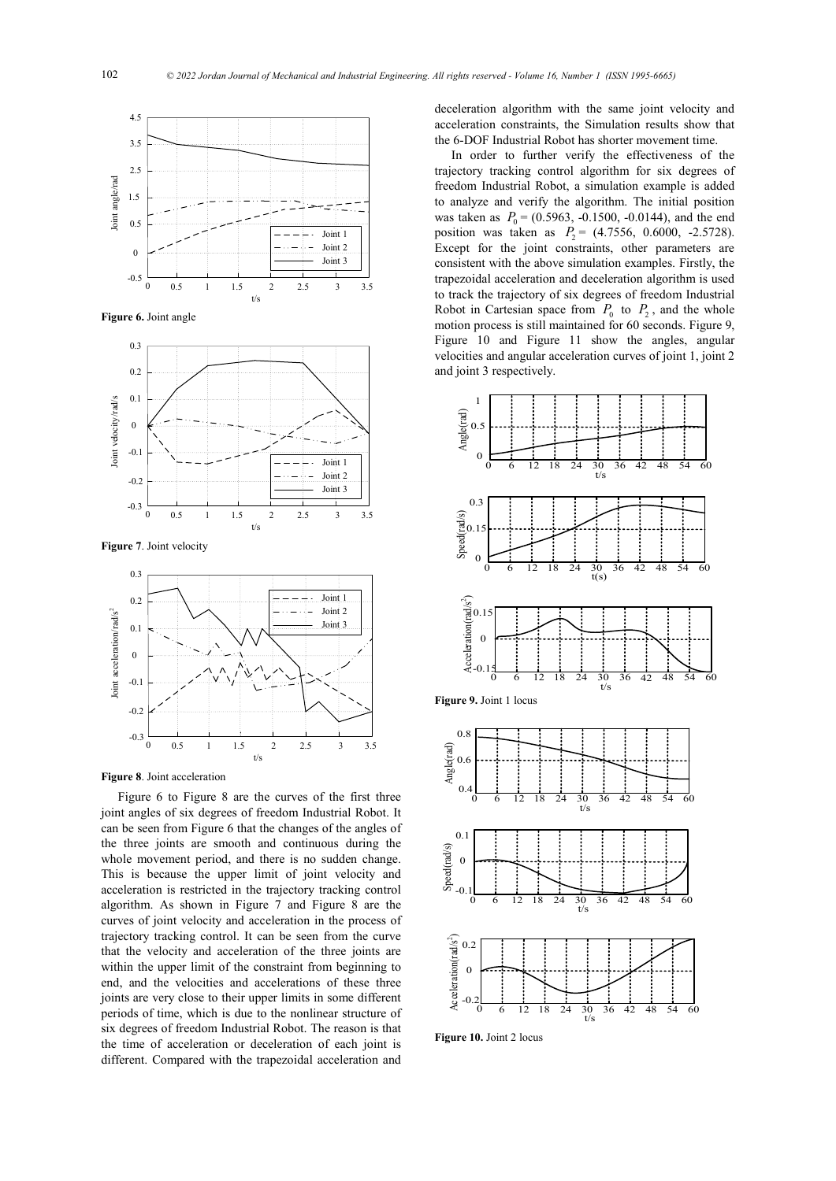

**Figure 6.** Joint angle



**Figure 7**. Joint velocity



**Figure 8**. Joint acceleration

Figure 6 to Figure 8 are the curves of the first three joint angles of six degrees of freedom Industrial Robot. It can be seen from Figure 6 that the changes of the angles of the three joints are smooth and continuous during the whole movement period, and there is no sudden change. This is because the upper limit of joint velocity and acceleration is restricted in the trajectory tracking control algorithm. As shown in Figure 7 and Figure 8 are the curves of joint velocity and acceleration in the process of trajectory tracking control. It can be seen from the curve that the velocity and acceleration of the three joints are within the upper limit of the constraint from beginning to end, and the velocities and accelerations of these three joints are very close to their upper limits in some different periods of time, which is due to the nonlinear structure of six degrees of freedom Industrial Robot. The reason is that the time of acceleration or deceleration of each joint is different. Compared with the trapezoidal acceleration and

deceleration algorithm with the same joint velocity and acceleration constraints, the Simulation results show that the 6-DOF Industrial Robot has shorter movement time.

In order to further verify the effectiveness of the trajectory tracking control algorithm for six degrees of freedom Industrial Robot, a simulation example is added to analyze and verify the algorithm. The initial position was taken as  $P_0 = (0.5963, -0.1500, -0.0144)$ , and the end position was taken as  $P_2 = (4.7556, 0.6000, -2.5728)$ . Except for the joint constraints, other parameters are consistent with the above simulation examples. Firstly, the trapezoidal acceleration and deceleration algorithm is used to track the trajectory of six degrees of freedom Industrial Robot in Cartesian space from  $P_0$  to  $P_2$ , and the whole motion process is still maintained for 60 seconds. Figure 9, Figure 10 and Figure 11 show the angles, angular velocities and angular acceleration curves of joint 1, joint 2 and joint 3 respectively.



**Figure 10.** Joint 2 locus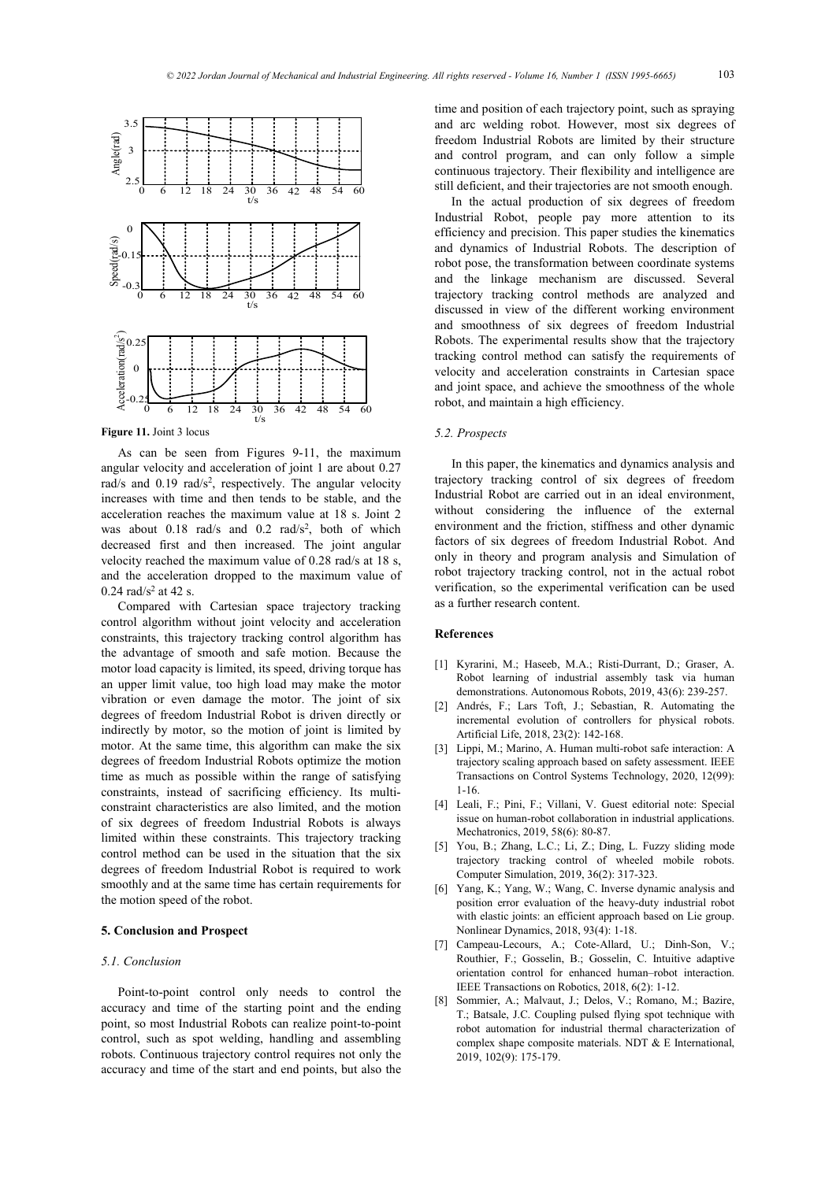

**Figure 11.** Joint 3 locus

As can be seen from Figures 9-11, the maximum angular velocity and acceleration of joint 1 are about 0.27 rad/s and 0.19 rad/s<sup>2</sup>, respectively. The angular velocity increases with time and then tends to be stable, and the acceleration reaches the maximum value at 18 s. Joint 2 was about  $0.18$  rad/s and  $0.2$  rad/s<sup>2</sup>, both of which decreased first and then increased. The joint angular velocity reached the maximum value of 0.28 rad/s at 18 s, and the acceleration dropped to the maximum value of 0.24  $rad/s^2$  at 42 s.

Compared with Cartesian space trajectory tracking control algorithm without joint velocity and acceleration constraints, this trajectory tracking control algorithm has the advantage of smooth and safe motion. Because the motor load capacity is limited, its speed, driving torque has an upper limit value, too high load may make the motor vibration or even damage the motor. The joint of six degrees of freedom Industrial Robot is driven directly or indirectly by motor, so the motion of joint is limited by motor. At the same time, this algorithm can make the six degrees of freedom Industrial Robots optimize the motion time as much as possible within the range of satisfying constraints, instead of sacrificing efficiency. Its multiconstraint characteristics are also limited, and the motion of six degrees of freedom Industrial Robots is always limited within these constraints. This trajectory tracking control method can be used in the situation that the six degrees of freedom Industrial Robot is required to work smoothly and at the same time has certain requirements for the motion speed of the robot.

#### **5. Conclusion and Prospect**

## *5.1. Conclusion*

Point-to-point control only needs to control the accuracy and time of the starting point and the ending point, so most Industrial Robots can realize point-to-point control, such as spot welding, handling and assembling robots. Continuous trajectory control requires not only the accuracy and time of the start and end points, but also the

time and position of each trajectory point, such as spraying and arc welding robot. However, most six degrees of freedom Industrial Robots are limited by their structure and control program, and can only follow a simple continuous trajectory. Their flexibility and intelligence are still deficient, and their trajectories are not smooth enough.

In the actual production of six degrees of freedom Industrial Robot, people pay more attention to its efficiency and precision. This paper studies the kinematics and dynamics of Industrial Robots. The description of robot pose, the transformation between coordinate systems and the linkage mechanism are discussed. Several trajectory tracking control methods are analyzed and discussed in view of the different working environment and smoothness of six degrees of freedom Industrial Robots. The experimental results show that the trajectory tracking control method can satisfy the requirements of velocity and acceleration constraints in Cartesian space and joint space, and achieve the smoothness of the whole robot, and maintain a high efficiency.

## *5.2. Prospects*

In this paper, the kinematics and dynamics analysis and trajectory tracking control of six degrees of freedom Industrial Robot are carried out in an ideal environment, without considering the influence of the external environment and the friction, stiffness and other dynamic factors of six degrees of freedom Industrial Robot. And only in theory and program analysis and Simulation of robot trajectory tracking control, not in the actual robot verification, so the experimental verification can be used as a further research content.

## **References**

- [1] Kyrarini, M.; Haseeb, M.A.; Risti-Durrant, D.; [Graser, A.](https://xueshu.baidu.com/s?wd=author:(%20Gr?ser,%20Axel)%20&tn=SE_baiduxueshu_c1gjeupa&ie=utf-8&sc_f_para=sc_hilight=person)  Robot learning of industrial assembly task via human demonstrations. Autonomous Robots, 2019, 43(6): 239-257.
- [2] Andrés, F.; Lars Toft, J.; Sebastian, R. Automating the incremental evolution of controllers for physical robots. Artificial Life, 2018, 23(2): 142-168.
- [3] Lippi, M.; Marino, A. Human multi-robot safe interaction: A trajectory scaling approach based on safety assessment. IEEE Transactions on Control Systems Technology, 2020, 12(99): 1-16.
- [4] Leali, F.; Pini, F.; Villani, V. Guest editorial note: Special issue on human-robot collaboration in industrial applications. Mechatronics, 2019, 58(6): 80-87.
- [5] You, B.; Zhang, L.C.; Li, Z.; Ding, L. Fuzzy sliding mode trajectory tracking control of wheeled mobile robots. Computer Simulation, 2019, 36(2): 317-323.
- [6] Yang, K.; Yang, W.; Wang, C. Inverse dynamic analysis and position error evaluation of the heavy-duty industrial robot with elastic joints: an efficient approach based on Lie group. Nonlinear Dynamics, 2018, 93(4): 1-18.
- [7] Campeau-Lecours, A.; Cote-Allard, U.; Dinh-Son, V.; Routhier, F.; Gosselin, B.; Gosselin, C. Intuitive adaptive orientation control for enhanced human–robot interaction. IEEE Transactions on Robotics, 2018, 6(2): 1-12.
- [8] Sommier, A.; Malvaut, J.; Delos, V.; [Romano, M.;](https://xueshu.baidu.com/s?wd=author:(Romano,%20M)%20EPSILON%20Grp%20ALCEN&tn=SE_baiduxueshu_c1gjeupa&ie=utf-8&sc_f_para=sc_hilight=person) [Bazire,](https://xueshu.baidu.com/s?wd=author:(Bazire,%20T)%20KUKA%20Syst%20Aerosp&tn=SE_baiduxueshu_c1gjeupa&ie=utf-8&sc_f_para=sc_hilight=person)  [T.;](https://xueshu.baidu.com/s?wd=author:(Bazire,%20T)%20KUKA%20Syst%20Aerosp&tn=SE_baiduxueshu_c1gjeupa&ie=utf-8&sc_f_para=sc_hilight=person) [Batsale, J.C.](https://xueshu.baidu.com/s?wd=author:(Batsale,%20J.%20C)%20Esplanade%20Arts%20&%20Metiers&tn=SE_baiduxueshu_c1gjeupa&ie=utf-8&sc_f_para=sc_hilight=person) Coupling pulsed flying spot technique with robot automation for industrial thermal characterization of complex shape composite materials. NDT & E International, 2019, 102(9): 175-179.